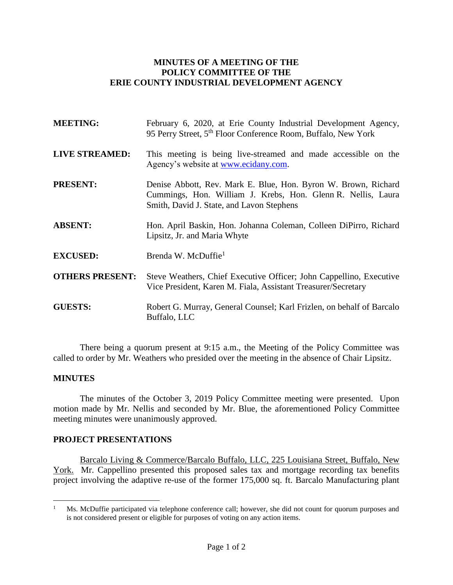## **MINUTES OF A MEETING OF THE POLICY COMMITTEE OF THE ERIE COUNTY INDUSTRIAL DEVELOPMENT AGENCY**

| <b>MEETING:</b>        | February 6, 2020, at Erie County Industrial Development Agency,<br>95 Perry Street, 5 <sup>th</sup> Floor Conference Room, Buffalo, New York                                |
|------------------------|-----------------------------------------------------------------------------------------------------------------------------------------------------------------------------|
| <b>LIVE STREAMED:</b>  | This meeting is being live-streamed and made accessible on the<br>Agency's website at www.ecidany.com.                                                                      |
| <b>PRESENT:</b>        | Denise Abbott, Rev. Mark E. Blue, Hon. Byron W. Brown, Richard<br>Cummings, Hon. William J. Krebs, Hon. Glenn R. Nellis, Laura<br>Smith, David J. State, and Lavon Stephens |
| <b>ABSENT:</b>         | Hon. April Baskin, Hon. Johanna Coleman, Colleen DiPirro, Richard<br>Lipsitz, Jr. and Maria Whyte                                                                           |
| <b>EXCUSED:</b>        | Brenda W. McDuffie <sup>1</sup>                                                                                                                                             |
| <b>OTHERS PRESENT:</b> | Steve Weathers, Chief Executive Officer; John Cappellino, Executive<br>Vice President, Karen M. Fiala, Assistant Treasurer/Secretary                                        |
| <b>GUESTS:</b>         | Robert G. Murray, General Counsel; Karl Frizlen, on behalf of Barcalo<br>Buffalo, LLC                                                                                       |

There being a quorum present at 9:15 a.m., the Meeting of the Policy Committee was called to order by Mr. Weathers who presided over the meeting in the absence of Chair Lipsitz.

## **MINUTES**

The minutes of the October 3, 2019 Policy Committee meeting were presented. Upon motion made by Mr. Nellis and seconded by Mr. Blue, the aforementioned Policy Committee meeting minutes were unanimously approved.

## **PROJECT PRESENTATIONS**

Barcalo Living & Commerce/Barcalo Buffalo, LLC, 225 Louisiana Street, Buffalo, New York. Mr. Cappellino presented this proposed sales tax and mortgage recording tax benefits project involving the adaptive re-use of the former 175,000 sq. ft. Barcalo Manufacturing plant

 $\mathbf{1}$ <sup>1</sup> Ms. McDuffie participated via telephone conference call; however, she did not count for quorum purposes and is not considered present or eligible for purposes of voting on any action items.